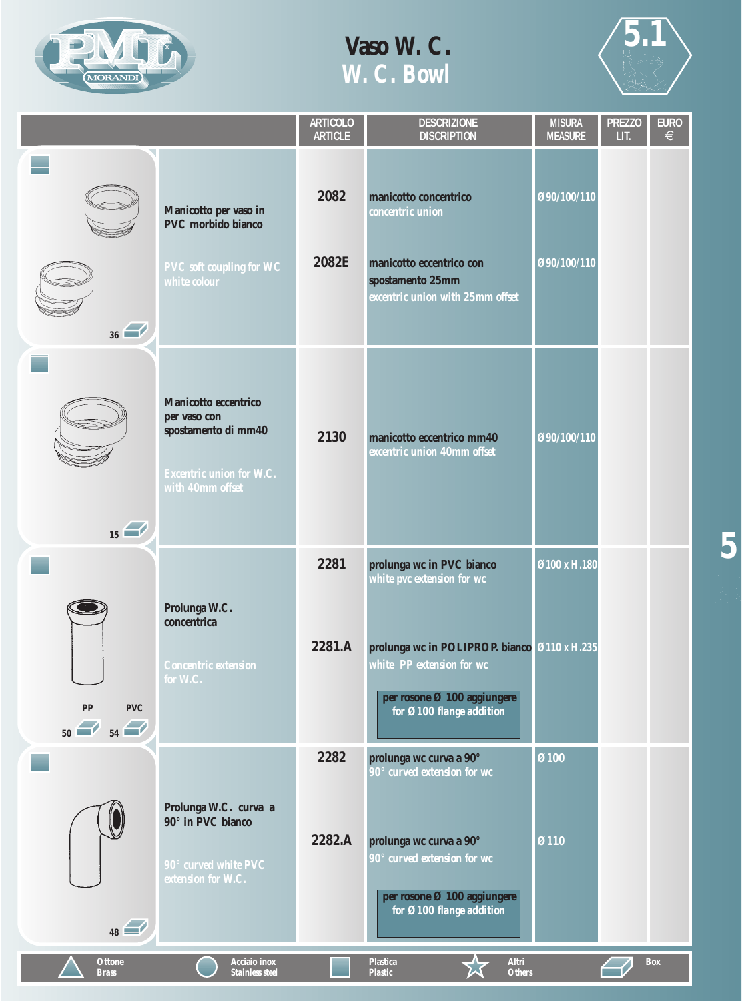



**5**

|                                       |                                                                                                                    | <b>ARTICOLO</b><br><b>ARTICLE</b> | <b>DESCRIZIONE</b><br><b>DISCRIPTION</b>                                                                                             | <b>MISURA</b><br><b>MEASURE</b> | <b>PREZZO</b><br>LIT. | <b>EURO</b><br>$\in$ |
|---------------------------------------|--------------------------------------------------------------------------------------------------------------------|-----------------------------------|--------------------------------------------------------------------------------------------------------------------------------------|---------------------------------|-----------------------|----------------------|
| 36                                    | Manicotto per vaso in<br>PVC morbido bianco<br><b>PVC</b> soft coupling for WC<br>white colour                     | 2082<br>2082E                     | manicotto concentrico<br>concentric union<br>manicotto eccentrico con<br>spostamento 25mm<br>excentric union with 25mm offset        | Ø90/100/110<br>Ø90/100/110      |                       |                      |
| $\overline{15}$                       | Manicotto eccentrico<br>per vaso con<br>spostamento di mm40<br><b>Excentric union for W.C.</b><br>with 40mm offset | 2130                              | manicotto eccentrico mm40<br>excentric union 40mm offset                                                                             | 090/100/110                     |                       |                      |
|                                       |                                                                                                                    | 2281                              | prolunga wc in PVC bianco<br>white pvc extension for wc                                                                              | Ø100 x H.180                    |                       |                      |
| ${\bf PP}$<br><b>PVC</b><br>$50$ $54$ | Prolunga W.C.<br>concentrica<br>Concentric extension<br>for W.C.                                                   | 2281.A                            | prolunga wc in POLIPROP. bianco Ø110 x H.235<br>white PP extension for wc<br>per rosone Ø 100 aggiungere<br>for Ø100 flange addition |                                 |                       |                      |
|                                       |                                                                                                                    | 2282                              | prolunga wc curva a 90°<br>90° curved extension for wc                                                                               | Ø100                            |                       |                      |
| 48                                    | Prolunga W.C. curva a<br>90° in PVC bianco<br>90° curved white PVC<br>extension for W.C.                           | 2282.A                            | prolunga wc curva a 90°<br>90° curved extension for wc<br>per rosone Ø 100 aggiungere<br>for Ø100 flange addition                    | Ø110                            |                       |                      |
| <b>Ottone</b><br><b>Brass</b>         | Acciaio inox<br><b>Stainless steel</b>                                                                             |                                   | <b>Plastica</b><br>Altri<br><b>Plastic</b><br><b>Others</b>                                                                          |                                 |                       | <b>Box</b>           |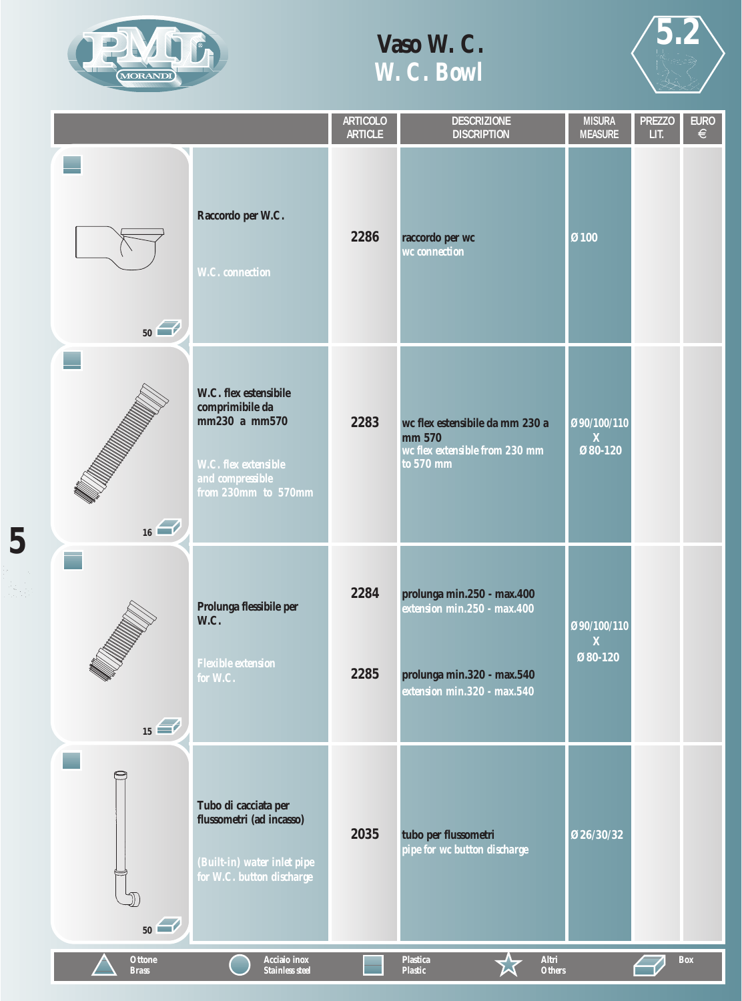

**5**

辞

# **Vaso W. C.** *W. C. Bowl*



|                               |                                                                                                                              | <b>ARTICOLO</b><br><b>ARTICLE</b> | <b>DESCRIZIONE</b><br><b>DISCRIPTION</b>                                                                               | <b>MISURA</b><br><b>MEASURE</b>        | <b>PREZZO</b><br>LIT. | <b>EURO</b><br>$\in$ |
|-------------------------------|------------------------------------------------------------------------------------------------------------------------------|-----------------------------------|------------------------------------------------------------------------------------------------------------------------|----------------------------------------|-----------------------|----------------------|
| 50                            | Raccordo per W.C.<br><b>W.C.</b> connection                                                                                  | 2286                              | raccordo per wc<br>wc connection                                                                                       | Ø100                                   |                       |                      |
| 16                            | W.C. flex estensibile<br>comprimibile da<br>mm230 a mm570<br>W.C. flex extensible<br>and compressible<br>from 230mm to 570mm | 2283                              | wc flex estensibile da mm 230 a<br>mm 570<br>wc flex extensible from 230 mm<br>to 570 mm                               | Ø90/100/110<br>$\mathbf{X}$<br>Ø80-120 |                       |                      |
| $\overline{15}$               | Prolunga flessibile per<br>W.C.<br><b>Flexible extension</b><br>for W.C.                                                     | 2284<br>2285                      | prolunga min.250 - max.400<br>extension min.250 - max.400<br>prolunga min.320 - max.540<br>extension min.320 - max.540 | Ø90/100/110<br>$\mathbf{X}$<br>Ø80-120 |                       |                      |
| 50                            | Tubo di cacciata per<br>flussometri (ad incasso)<br>(Built-in) water inlet pipe<br>for W.C. button discharge                 | 2035                              | tubo per flussometri<br>pipe for wc button discharge                                                                   | Ø26/30/32                              |                       |                      |
| <b>Ottone</b><br><b>Brass</b> | Acciaio inox<br><b>Stainless steel</b>                                                                                       |                                   | Altri<br><b>Plastica</b><br><b>Plastic</b><br><b>Others</b>                                                            |                                        |                       | <b>Box</b>           |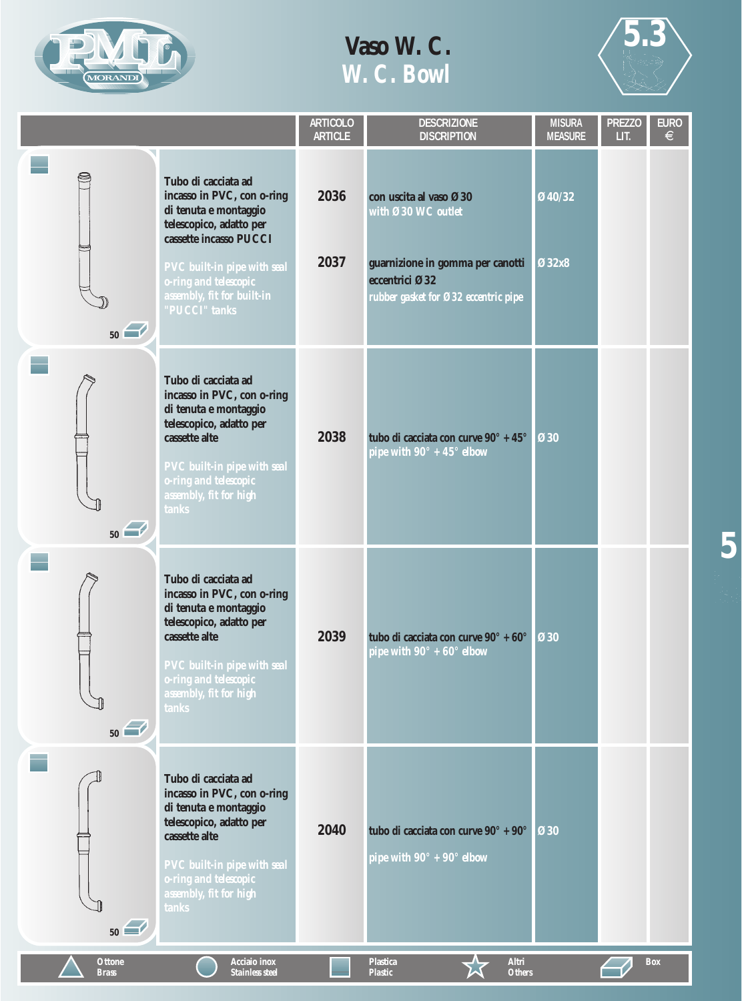



**5**

|                               |                                                                                                                                                                                                                                        | <b>ARTICOLO</b><br><b>ARTICLE</b> | <b>DESCRIZIONE</b><br><b>DISCRIPTION</b>                                                                                                   | <b>MISURA</b><br><b>MEASURE</b> | <b>PREZZO</b><br>LIT. | <b>EURO</b><br>€ |
|-------------------------------|----------------------------------------------------------------------------------------------------------------------------------------------------------------------------------------------------------------------------------------|-----------------------------------|--------------------------------------------------------------------------------------------------------------------------------------------|---------------------------------|-----------------------|------------------|
| 9<br>50                       | Tubo di cacciata ad<br>incasso in PVC, con o-ring<br>di tenuta e montaggio<br>telescopico, adatto per<br>cassette incasso PUCCI<br>PVC built-in pipe with seal<br>o-ring and telescopic<br>assembly, fit for built-in<br>"PUCCI" tanks | 2036<br>2037                      | con uscita al vaso Ø30<br>with Ø30 WC outlet<br>guarnizione in gomma per canotti<br>eccentrici Ø32<br>rubber gasket for Ø32 eccentric pipe | Ø40/32<br>Ø32x8                 |                       |                  |
| 50                            | Tubo di cacciata ad<br>incasso in PVC, con o-ring<br>di tenuta e montaggio<br>telescopico, adatto per<br>cassette alte<br>PVC built-in pipe with seal<br>o-ring and telescopic<br>assembly, fit for high<br>tanks                      | 2038                              | tubo di cacciata con curve 90° + 45°<br>pipe with $90^{\circ}$ + $45^{\circ}$ elbow                                                        | Ø30                             |                       |                  |
| 50                            | Tubo di cacciata ad<br>incasso in PVC, con o-ring<br>di tenuta e montaggio<br>telescopico, adatto per<br>cassette alte<br>PVC built-in pipe with seal<br>o-ring and telescopic<br>assembly, fit for high<br>tanks                      | 2039                              | tubo di cacciata con curve 90° + 60°<br>pipe with $90^{\circ}$ + 60° elbow                                                                 | <b>Ø30</b>                      |                       |                  |
| 50                            | Tubo di cacciata ad<br>incasso in PVC, con o-ring<br>di tenuta e montaggio<br>telescopico, adatto per<br>cassette alte<br>PVC built-in pipe with seal<br>o-ring and telescopic<br>assembly, fit for high<br>tanks                      | 2040                              | tubo di cacciata con curve 90° + 90°<br>pipe with $90^{\circ}$ + $90^{\circ}$ elbow                                                        | Ø30                             |                       |                  |
| <b>Ottone</b><br><b>Brass</b> | <b>Acciaio</b> inox<br><b>Stainless steel</b>                                                                                                                                                                                          |                                   | Altri<br><b>Plastica</b><br><b>Plastic</b><br><b>Others</b>                                                                                |                                 |                       | <b>Box</b>       |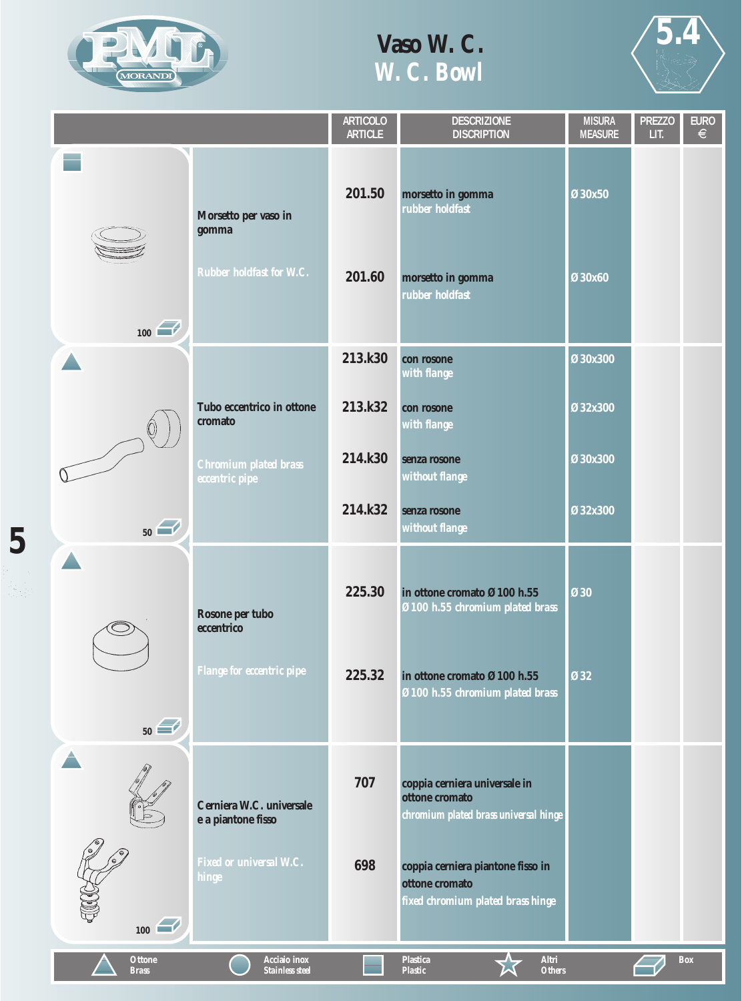

**5**

호로

### **Vaso W. C.** *W. C. Bowl*



|                               |                                                                  | <b>ARTICOLO</b><br><b>ARTICLE</b> | <b>DESCRIZIONE</b><br><b>DISCRIPTION</b>                                                 | <b>MISURA</b><br><b>MEASURE</b> | <b>PREZZO</b><br>LIT. | <b>EURO</b><br>$\epsilon$ |
|-------------------------------|------------------------------------------------------------------|-----------------------------------|------------------------------------------------------------------------------------------|---------------------------------|-----------------------|---------------------------|
|                               | Morsetto per vaso in<br>gomma<br><b>Rubber holdfast for W.C.</b> | 201.50<br>201.60                  | morsetto in gomma<br>rubber holdfast<br>morsetto in gomma<br>rubber holdfast             | Ø30x50<br>Ø30x60                |                       |                           |
| 100                           |                                                                  | 213.k30                           | con rosone                                                                               | Ø30x300                         |                       |                           |
|                               | Tubo eccentrico in ottone<br>cromato                             | 213.k32                           | with flange<br>con rosone<br>with flange                                                 | Ø32x300                         |                       |                           |
|                               | Chromium plated brass<br><i>eccentric pipe</i>                   | 214.k30                           | senza rosone<br>without flange                                                           | Ø30x300                         |                       |                           |
| 50                            |                                                                  | 214.k32                           | senza rosone<br>without flange                                                           | Ø32x300                         |                       |                           |
|                               | Rosone per tubo<br>eccentrico                                    | 225.30                            | in ottone cromato Ø100 h.55<br>Ø100 h.55 chromium plated brass                           | <b>Ø30</b>                      |                       |                           |
| 50                            | Flange for eccentric pipe                                        | 225.32                            | in ottone cromato Ø100 h.55<br>Ø100 h.55 chromium plated brass                           | <b>Ø32</b>                      |                       |                           |
|                               | Cerniera W.C. universale<br>e a piantone fisso                   | 707                               | coppia cerniera universale in<br>ottone cromato<br>chromium plated brass universal hinge |                                 |                       |                           |
| $\boxed{100}$                 | Fixed or universal W.C.<br>hinge                                 | 698                               | coppia cerniera piantone fisso in<br>ottone cromato<br>fixed chromium plated brass hinge |                                 |                       |                           |
| <b>Ottone</b><br><b>Brass</b> | Acciaio inox<br>Stainless steel                                  |                                   | <b>Altri</b><br><b>Plastica</b><br><b>Plastic</b><br><b>Others</b>                       |                                 |                       | <b>Box</b>                |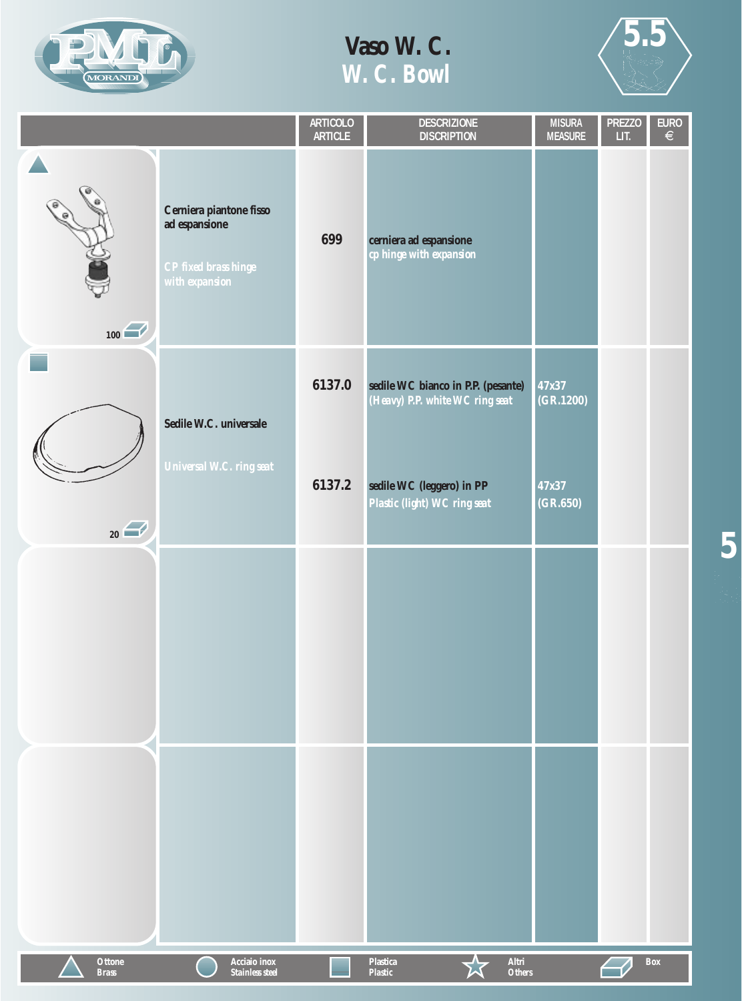



**5**

|                               |                                                                                    | ARTICOLO<br>ARTICLE | <b>DESCRIZIONE</b><br><b>DISCRIPTION</b>                              | <b>MISURA</b><br><b>MEASURE</b> | <b>PREZZO</b><br>LIT. | $\begin{array}{c} \overline{\mathsf{EURO}} \\ \in \end{array}$ |
|-------------------------------|------------------------------------------------------------------------------------|---------------------|-----------------------------------------------------------------------|---------------------------------|-----------------------|----------------------------------------------------------------|
| 100                           | Cerniera piantone fisso<br>ad espansione<br>CP fixed brass hinge<br>with expansion | 699                 | cerniera ad espansione<br>cp hinge with expansion                     |                                 |                       |                                                                |
|                               | Sedile W.C. universale                                                             | 6137.0              | sedile WC bianco in P.P. (pesante)<br>(Heavy) P.P. white WC ring seat | 47x37<br>(GR.1200)              |                       |                                                                |
| $_{20}$                       | Universal W.C. ring seat                                                           | 6137.2              | sedile WC (leggero) in PP<br>Plastic (light) WC ring seat             | 47x37<br>(GR.650)               |                       |                                                                |
|                               |                                                                                    |                     |                                                                       |                                 |                       |                                                                |
|                               |                                                                                    |                     |                                                                       |                                 |                       |                                                                |
| <b>Ottone</b><br><b>Brass</b> | Acciaio inox<br><b>Stainless steel</b>                                             |                     | Altri<br><b>Plastica</b><br><b>Others</b><br><b>Plastic</b>           |                                 |                       | <b>Box</b>                                                     |